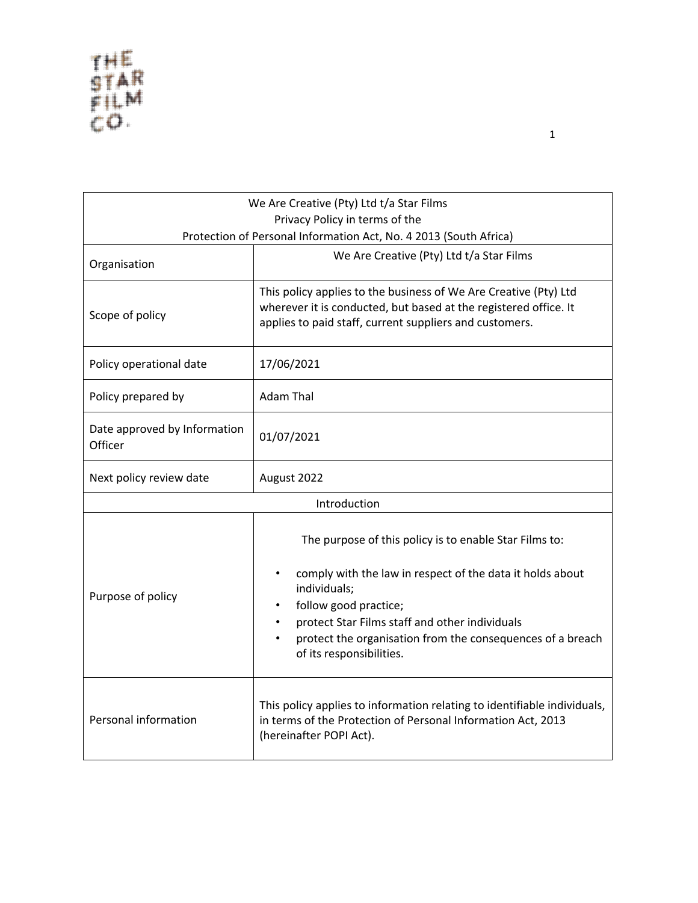| We Are Creative (Pty) Ltd t/a Star Films<br>Privacy Policy in terms of the |                                                                                                                                                                                                                                                                                                          |  |
|----------------------------------------------------------------------------|----------------------------------------------------------------------------------------------------------------------------------------------------------------------------------------------------------------------------------------------------------------------------------------------------------|--|
|                                                                            | Protection of Personal Information Act, No. 4 2013 (South Africa)                                                                                                                                                                                                                                        |  |
| Organisation                                                               | We Are Creative (Pty) Ltd t/a Star Films                                                                                                                                                                                                                                                                 |  |
| Scope of policy                                                            | This policy applies to the business of We Are Creative (Pty) Ltd<br>wherever it is conducted, but based at the registered office. It<br>applies to paid staff, current suppliers and customers.                                                                                                          |  |
| Policy operational date                                                    | 17/06/2021                                                                                                                                                                                                                                                                                               |  |
| Policy prepared by                                                         | <b>Adam Thal</b>                                                                                                                                                                                                                                                                                         |  |
| Date approved by Information<br>Officer                                    | 01/07/2021                                                                                                                                                                                                                                                                                               |  |
| Next policy review date                                                    | August 2022                                                                                                                                                                                                                                                                                              |  |
| Introduction                                                               |                                                                                                                                                                                                                                                                                                          |  |
| Purpose of policy                                                          | The purpose of this policy is to enable Star Films to:<br>comply with the law in respect of the data it holds about<br>individuals;<br>follow good practice;<br>protect Star Films staff and other individuals<br>protect the organisation from the consequences of a breach<br>of its responsibilities. |  |
| Personal information                                                       | This policy applies to information relating to identifiable individuals,<br>in terms of the Protection of Personal Information Act, 2013<br>(hereinafter POPI Act).                                                                                                                                      |  |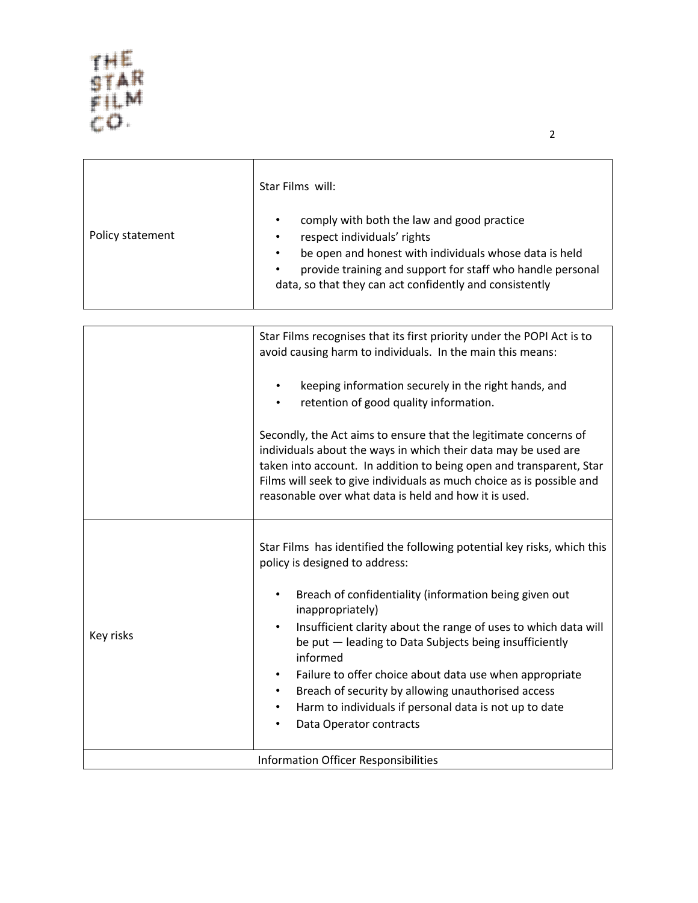|                  | Star Films will:                                                                                                                                                                                                                                                                                    |
|------------------|-----------------------------------------------------------------------------------------------------------------------------------------------------------------------------------------------------------------------------------------------------------------------------------------------------|
| Policy statement | comply with both the law and good practice<br>$\bullet$<br>respect individuals' rights<br>$\bullet$<br>be open and honest with individuals whose data is held<br>$\bullet$<br>provide training and support for staff who handle personal<br>data, so that they can act confidently and consistently |

|           | Star Films recognises that its first priority under the POPI Act is to<br>avoid causing harm to individuals. In the main this means:                                                                                                                                                                                                        |
|-----------|---------------------------------------------------------------------------------------------------------------------------------------------------------------------------------------------------------------------------------------------------------------------------------------------------------------------------------------------|
|           | keeping information securely in the right hands, and<br>retention of good quality information.                                                                                                                                                                                                                                              |
|           | Secondly, the Act aims to ensure that the legitimate concerns of<br>individuals about the ways in which their data may be used are<br>taken into account. In addition to being open and transparent, Star<br>Films will seek to give individuals as much choice as is possible and<br>reasonable over what data is held and how it is used. |
|           | Star Films has identified the following potential key risks, which this<br>policy is designed to address:                                                                                                                                                                                                                                   |
| Key risks | Breach of confidentiality (information being given out<br>inappropriately)                                                                                                                                                                                                                                                                  |
|           | Insufficient clarity about the range of uses to which data will<br>be put - leading to Data Subjects being insufficiently<br>informed                                                                                                                                                                                                       |
|           | Failure to offer choice about data use when appropriate<br>$\bullet$                                                                                                                                                                                                                                                                        |
|           | Breach of security by allowing unauthorised access<br>Harm to individuals if personal data is not up to date                                                                                                                                                                                                                                |
|           | Data Operator contracts                                                                                                                                                                                                                                                                                                                     |
|           | <b>Information Officer Responsibilities</b>                                                                                                                                                                                                                                                                                                 |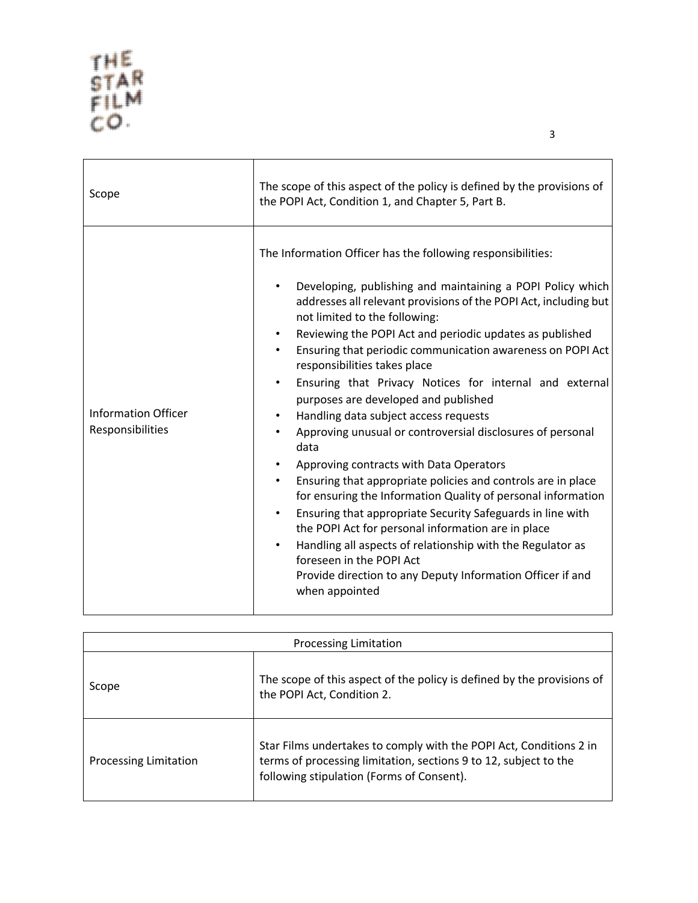| Scope                                          | The scope of this aspect of the policy is defined by the provisions of<br>the POPI Act, Condition 1, and Chapter 5, Part B.                                                                                                                                                                                                                                                                                                                                                                                                                                                                                                                                                                                                                                                                                                                                                                                                                                                                                                                                                                                                                               |
|------------------------------------------------|-----------------------------------------------------------------------------------------------------------------------------------------------------------------------------------------------------------------------------------------------------------------------------------------------------------------------------------------------------------------------------------------------------------------------------------------------------------------------------------------------------------------------------------------------------------------------------------------------------------------------------------------------------------------------------------------------------------------------------------------------------------------------------------------------------------------------------------------------------------------------------------------------------------------------------------------------------------------------------------------------------------------------------------------------------------------------------------------------------------------------------------------------------------|
| <b>Information Officer</b><br>Responsibilities | The Information Officer has the following responsibilities:<br>Developing, publishing and maintaining a POPI Policy which<br>addresses all relevant provisions of the POPI Act, including but<br>not limited to the following:<br>Reviewing the POPI Act and periodic updates as published<br>٠<br>Ensuring that periodic communication awareness on POPI Act<br>$\bullet$<br>responsibilities takes place<br>Ensuring that Privacy Notices for internal and external<br>$\bullet$<br>purposes are developed and published<br>Handling data subject access requests<br>$\bullet$<br>Approving unusual or controversial disclosures of personal<br>data<br>Approving contracts with Data Operators<br>Ensuring that appropriate policies and controls are in place<br>$\bullet$<br>for ensuring the Information Quality of personal information<br>Ensuring that appropriate Security Safeguards in line with<br>the POPI Act for personal information are in place<br>Handling all aspects of relationship with the Regulator as<br>$\bullet$<br>foreseen in the POPI Act<br>Provide direction to any Deputy Information Officer if and<br>when appointed |

| <b>Processing Limitation</b> |                                                                                                                                                                                     |
|------------------------------|-------------------------------------------------------------------------------------------------------------------------------------------------------------------------------------|
| Scope                        | The scope of this aspect of the policy is defined by the provisions of<br>the POPI Act, Condition 2.                                                                                |
| <b>Processing Limitation</b> | Star Films undertakes to comply with the POPI Act, Conditions 2 in<br>terms of processing limitation, sections 9 to 12, subject to the<br>following stipulation (Forms of Consent). |

3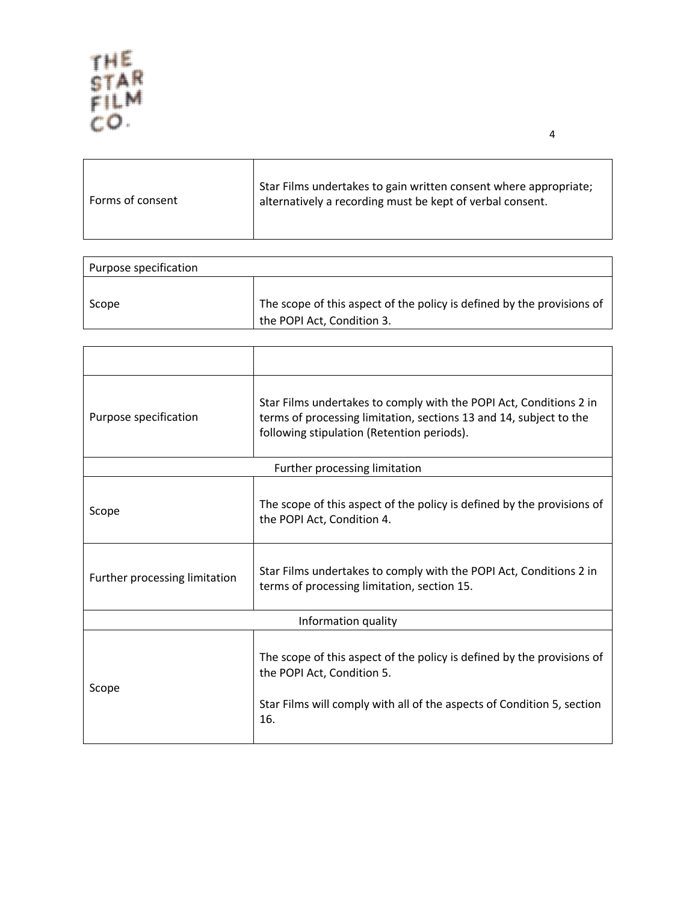$\Gamma$ 

| Forms of consent | Star Films undertakes to gain written consent where appropriate;<br>alternatively a recording must be kept of verbal consent. |
|------------------|-------------------------------------------------------------------------------------------------------------------------------|
|                  |                                                                                                                               |

| Purpose specification |                                                                                                      |
|-----------------------|------------------------------------------------------------------------------------------------------|
| Scope                 | The scope of this aspect of the policy is defined by the provisions of<br>the POPI Act, Condition 3. |

| Purpose specification         | Star Films undertakes to comply with the POPI Act, Conditions 2 in<br>terms of processing limitation, sections 13 and 14, subject to the<br>following stipulation (Retention periods). |  |
|-------------------------------|----------------------------------------------------------------------------------------------------------------------------------------------------------------------------------------|--|
|                               | Further processing limitation                                                                                                                                                          |  |
| Scope                         | The scope of this aspect of the policy is defined by the provisions of<br>the POPI Act, Condition 4.                                                                                   |  |
| Further processing limitation | Star Films undertakes to comply with the POPI Act, Conditions 2 in<br>terms of processing limitation, section 15.                                                                      |  |
| Information quality           |                                                                                                                                                                                        |  |
| Scope                         | The scope of this aspect of the policy is defined by the provisions of<br>the POPI Act, Condition 5.<br>Star Films will comply with all of the aspects of Condition 5, section<br>16.  |  |

4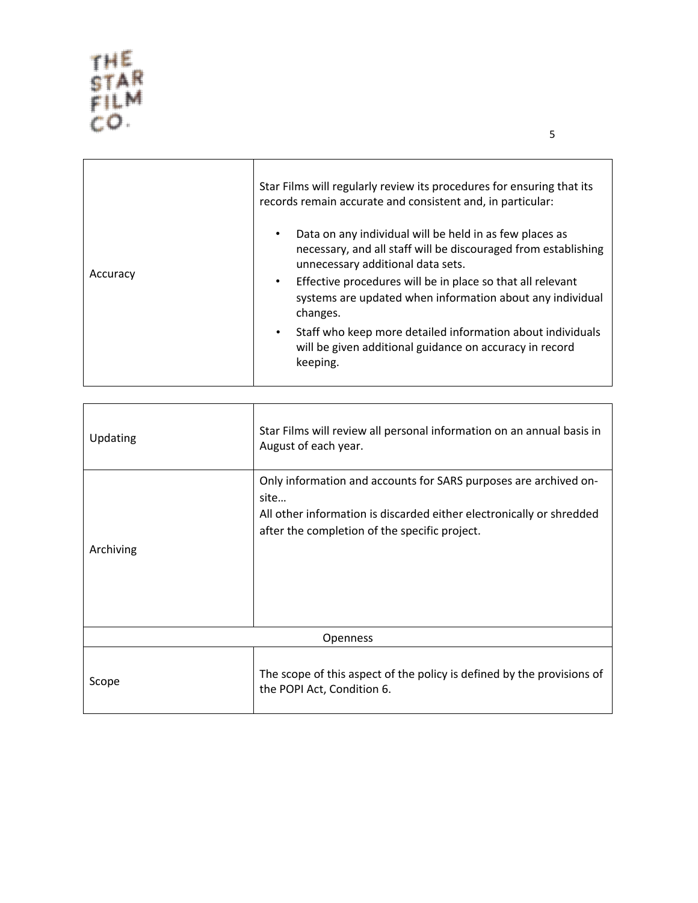| Accuracy | Star Films will regularly review its procedures for ensuring that its<br>records remain accurate and consistent and, in particular:                            |
|----------|----------------------------------------------------------------------------------------------------------------------------------------------------------------|
|          | Data on any individual will be held in as few places as<br>necessary, and all staff will be discouraged from establishing<br>unnecessary additional data sets. |
|          | Effective procedures will be in place so that all relevant<br>$\bullet$<br>systems are updated when information about any individual<br>changes.               |
|          | Staff who keep more detailed information about individuals<br>$\bullet$<br>will be given additional guidance on accuracy in record<br>keeping.                 |
|          |                                                                                                                                                                |

| Updating  | Star Films will review all personal information on an annual basis in<br>August of each year.                                                                                                     |
|-----------|---------------------------------------------------------------------------------------------------------------------------------------------------------------------------------------------------|
| Archiving | Only information and accounts for SARS purposes are archived on-<br>site<br>All other information is discarded either electronically or shredded<br>after the completion of the specific project. |
| Openness  |                                                                                                                                                                                                   |
| Scope     | The scope of this aspect of the policy is defined by the provisions of<br>the POPI Act, Condition 6.                                                                                              |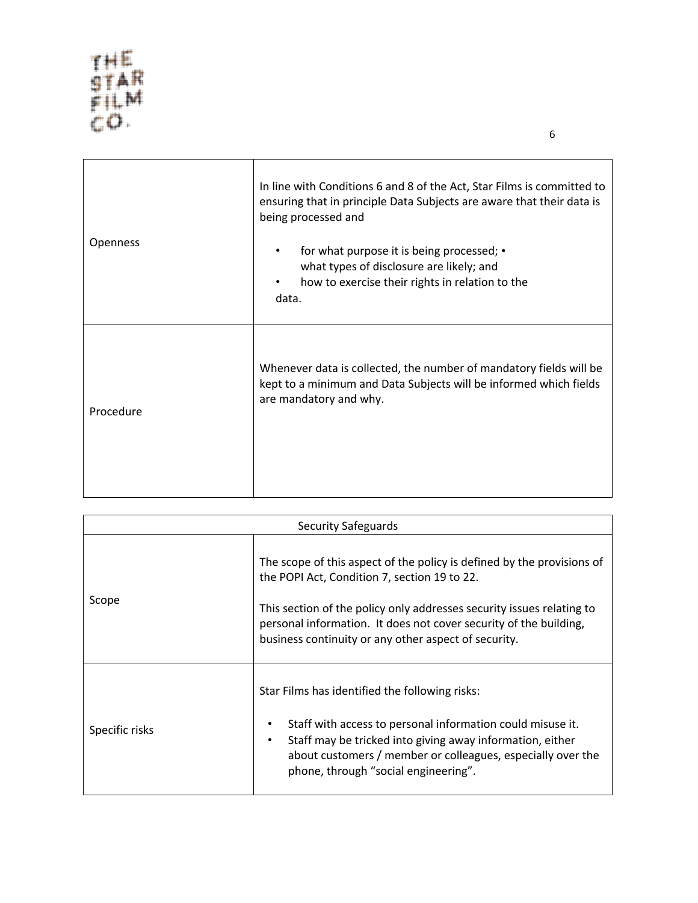| Openness  | In line with Conditions 6 and 8 of the Act, Star Films is committed to<br>ensuring that in principle Data Subjects are aware that their data is<br>being processed and<br>for what purpose it is being processed; •<br>$\bullet$<br>what types of disclosure are likely; and<br>how to exercise their rights in relation to the<br>٠<br>data. |
|-----------|-----------------------------------------------------------------------------------------------------------------------------------------------------------------------------------------------------------------------------------------------------------------------------------------------------------------------------------------------|
| Procedure | Whenever data is collected, the number of mandatory fields will be<br>kept to a minimum and Data Subjects will be informed which fields<br>are mandatory and why.                                                                                                                                                                             |

| <b>Security Safeguards</b> |                                                                                                                                                                                                                                                                                                                              |
|----------------------------|------------------------------------------------------------------------------------------------------------------------------------------------------------------------------------------------------------------------------------------------------------------------------------------------------------------------------|
| Scope                      | The scope of this aspect of the policy is defined by the provisions of<br>the POPI Act, Condition 7, section 19 to 22.<br>This section of the policy only addresses security issues relating to<br>personal information. It does not cover security of the building,<br>business continuity or any other aspect of security. |
| Specific risks             | Star Films has identified the following risks:<br>Staff with access to personal information could misuse it.<br>Staff may be tricked into giving away information, either<br>٠<br>about customers / member or colleagues, especially over the<br>phone, through "social engineering".                                        |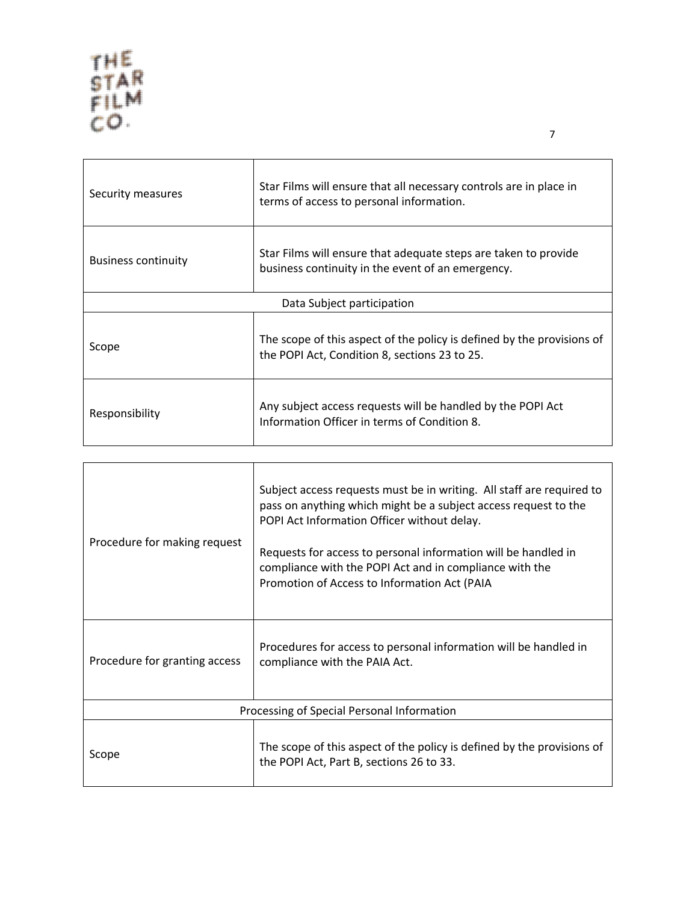$\Gamma$ 

| Security measures          | Star Films will ensure that all necessary controls are in place in<br>terms of access to personal information.          |
|----------------------------|-------------------------------------------------------------------------------------------------------------------------|
| <b>Business continuity</b> | Star Films will ensure that adequate steps are taken to provide<br>business continuity in the event of an emergency.    |
| Data Subject participation |                                                                                                                         |
| Scope                      | The scope of this aspect of the policy is defined by the provisions of<br>the POPI Act, Condition 8, sections 23 to 25. |
| Responsibility             | Any subject access requests will be handled by the POPI Act<br>Information Officer in terms of Condition 8.             |

| Procedure for making request               | Subject access requests must be in writing. All staff are required to<br>pass on anything which might be a subject access request to the<br>POPI Act Information Officer without delay.<br>Requests for access to personal information will be handled in<br>compliance with the POPI Act and in compliance with the<br>Promotion of Access to Information Act (PAIA |
|--------------------------------------------|----------------------------------------------------------------------------------------------------------------------------------------------------------------------------------------------------------------------------------------------------------------------------------------------------------------------------------------------------------------------|
| Procedure for granting access              | Procedures for access to personal information will be handled in<br>compliance with the PAIA Act.                                                                                                                                                                                                                                                                    |
| Processing of Special Personal Information |                                                                                                                                                                                                                                                                                                                                                                      |
| Scope                                      | The scope of this aspect of the policy is defined by the provisions of<br>the POPI Act, Part B, sections 26 to 33.                                                                                                                                                                                                                                                   |

 $\overline{\phantom{a}}$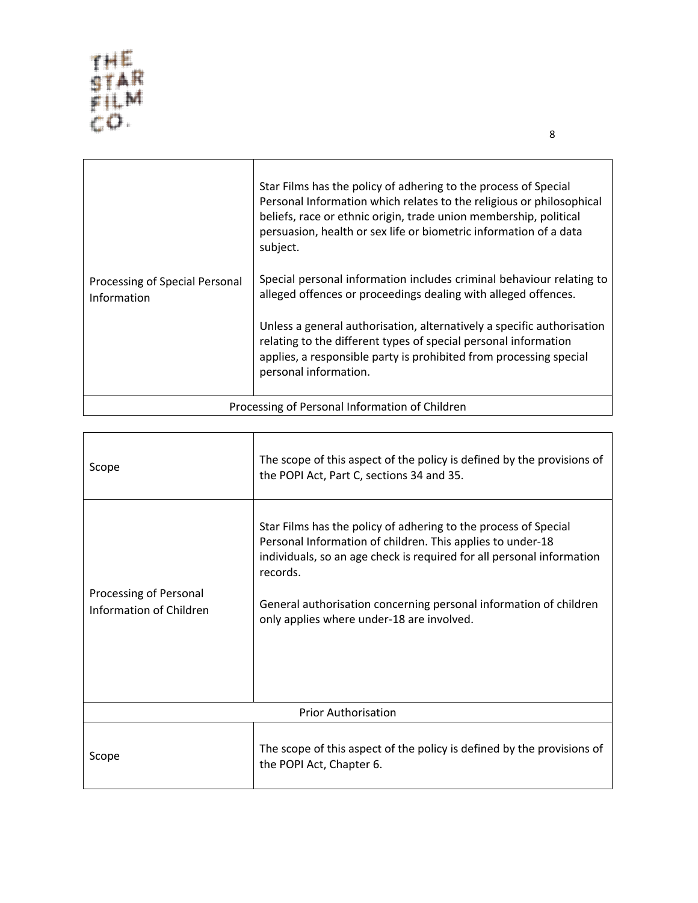| Processing of Special Personal<br>Information  | Star Films has the policy of adhering to the process of Special<br>Personal Information which relates to the religious or philosophical<br>beliefs, race or ethnic origin, trade union membership, political<br>persuasion, health or sex life or biometric information of a data<br>subject.<br>Special personal information includes criminal behaviour relating to<br>alleged offences or proceedings dealing with alleged offences.<br>Unless a general authorisation, alternatively a specific authorisation<br>relating to the different types of special personal information<br>applies, a responsible party is prohibited from processing special<br>personal information. |
|------------------------------------------------|-------------------------------------------------------------------------------------------------------------------------------------------------------------------------------------------------------------------------------------------------------------------------------------------------------------------------------------------------------------------------------------------------------------------------------------------------------------------------------------------------------------------------------------------------------------------------------------------------------------------------------------------------------------------------------------|
| Processing of Personal Information of Children |                                                                                                                                                                                                                                                                                                                                                                                                                                                                                                                                                                                                                                                                                     |

| Scope                                             | The scope of this aspect of the policy is defined by the provisions of<br>the POPI Act, Part C, sections 34 and 35.                                                                                                                                                                                                                  |
|---------------------------------------------------|--------------------------------------------------------------------------------------------------------------------------------------------------------------------------------------------------------------------------------------------------------------------------------------------------------------------------------------|
| Processing of Personal<br>Information of Children | Star Films has the policy of adhering to the process of Special<br>Personal Information of children. This applies to under-18<br>individuals, so an age check is required for all personal information<br>records.<br>General authorisation concerning personal information of children<br>only applies where under-18 are involved. |
| <b>Prior Authorisation</b>                        |                                                                                                                                                                                                                                                                                                                                      |
| Scope                                             | The scope of this aspect of the policy is defined by the provisions of<br>the POPI Act, Chapter 6.                                                                                                                                                                                                                                   |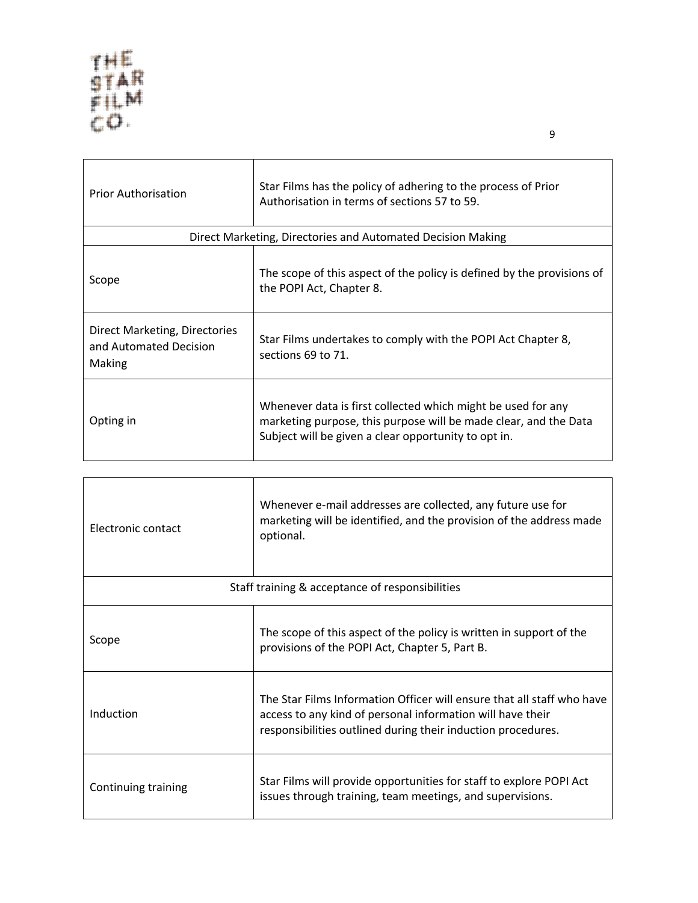$\mathbf{r}$ 

| <b>Prior Authorisation</b>                                        | Star Films has the policy of adhering to the process of Prior<br>Authorisation in terms of sections 57 to 59.                                                                            |  |
|-------------------------------------------------------------------|------------------------------------------------------------------------------------------------------------------------------------------------------------------------------------------|--|
| Direct Marketing, Directories and Automated Decision Making       |                                                                                                                                                                                          |  |
| Scope                                                             | The scope of this aspect of the policy is defined by the provisions of<br>the POPI Act, Chapter 8.                                                                                       |  |
| Direct Marketing, Directories<br>and Automated Decision<br>Making | Star Films undertakes to comply with the POPI Act Chapter 8,<br>sections 69 to 71.                                                                                                       |  |
| Opting in                                                         | Whenever data is first collected which might be used for any<br>marketing purpose, this purpose will be made clear, and the Data<br>Subject will be given a clear opportunity to opt in. |  |

| Electronic contact                              | Whenever e-mail addresses are collected, any future use for<br>marketing will be identified, and the provision of the address made<br>optional.                                                      |
|-------------------------------------------------|------------------------------------------------------------------------------------------------------------------------------------------------------------------------------------------------------|
| Staff training & acceptance of responsibilities |                                                                                                                                                                                                      |
| Scope                                           | The scope of this aspect of the policy is written in support of the<br>provisions of the POPI Act, Chapter 5, Part B.                                                                                |
| Induction                                       | The Star Films Information Officer will ensure that all staff who have<br>access to any kind of personal information will have their<br>responsibilities outlined during their induction procedures. |
| Continuing training                             | Star Films will provide opportunities for staff to explore POPI Act<br>issues through training, team meetings, and supervisions.                                                                     |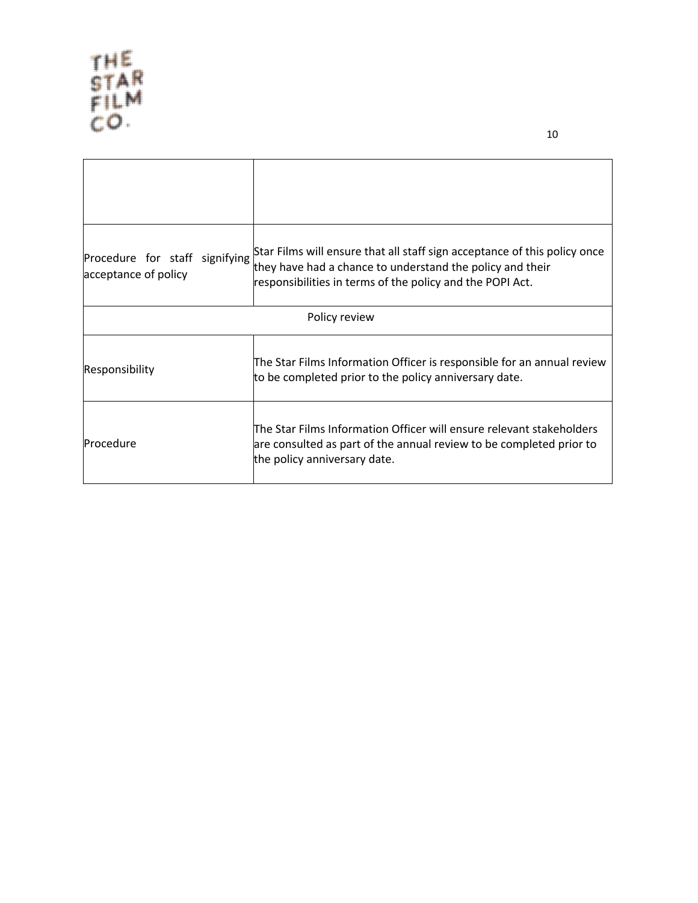| Procedure for staff signifying<br>acceptance of policy | Star Films will ensure that all staff sign acceptance of this policy once<br>they have had a chance to understand the policy and their<br>responsibilities in terms of the policy and the POPI Act. |  |
|--------------------------------------------------------|-----------------------------------------------------------------------------------------------------------------------------------------------------------------------------------------------------|--|
| Policy review                                          |                                                                                                                                                                                                     |  |
| Responsibility                                         | The Star Films Information Officer is responsible for an annual review<br>to be completed prior to the policy anniversary date.                                                                     |  |
| Procedure                                              | The Star Films Information Officer will ensure relevant stakeholders<br>are consulted as part of the annual review to be completed prior to<br>the policy anniversary date.                         |  |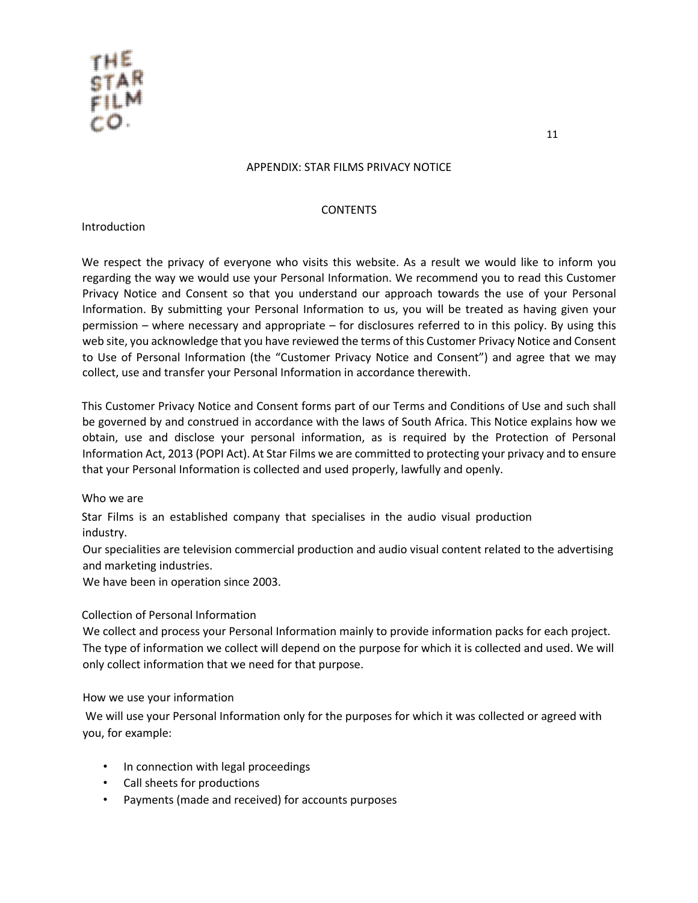

### APPENDIX: STAR FILMS PRIVACY NOTICE

#### CONTENTS

#### Introduction

We respect the privacy of everyone who visits this website. As a result we would like to inform you regarding the way we would use your Personal Information. We recommend you to read this Customer Privacy Notice and Consent so that you understand our approach towards the use of your Personal Information. By submitting your Personal Information to us, you will be treated as having given your permission – where necessary and appropriate – for disclosures referred to in this policy. By using this web site, you acknowledge that you have reviewed the terms of this Customer Privacy Notice and Consent to Use of Personal Information (the "Customer Privacy Notice and Consent") and agree that we may collect, use and transfer your Personal Information in accordance therewith.

This Customer Privacy Notice and Consent forms part of our Terms and Conditions of Use and such shall be governed by and construed in accordance with the laws of South Africa. This Notice explains how we obtain, use and disclose your personal information, as is required by the Protection of Personal Information Act, 2013 (POPI Act). At Star Films we are committed to protecting your privacy and to ensure that your Personal Information is collected and used properly, lawfully and openly.

## Who we are

Star Films is an established company that specialises in the audio visual production industry.

Our specialities are television commercial production and audio visual content related to the advertising and marketing industries.

We have been in operation since 2003.

## Collection of Personal Information

We collect and process your Personal Information mainly to provide information packs for each project. The type of information we collect will depend on the purpose for which it is collected and used. We will only collect information that we need for that purpose.

How we use your information

We will use your Personal Information only for the purposes for which it was collected or agreed with you, for example:

- In connection with legal proceedings
- Call sheets for productions
- Payments (made and received) for accounts purposes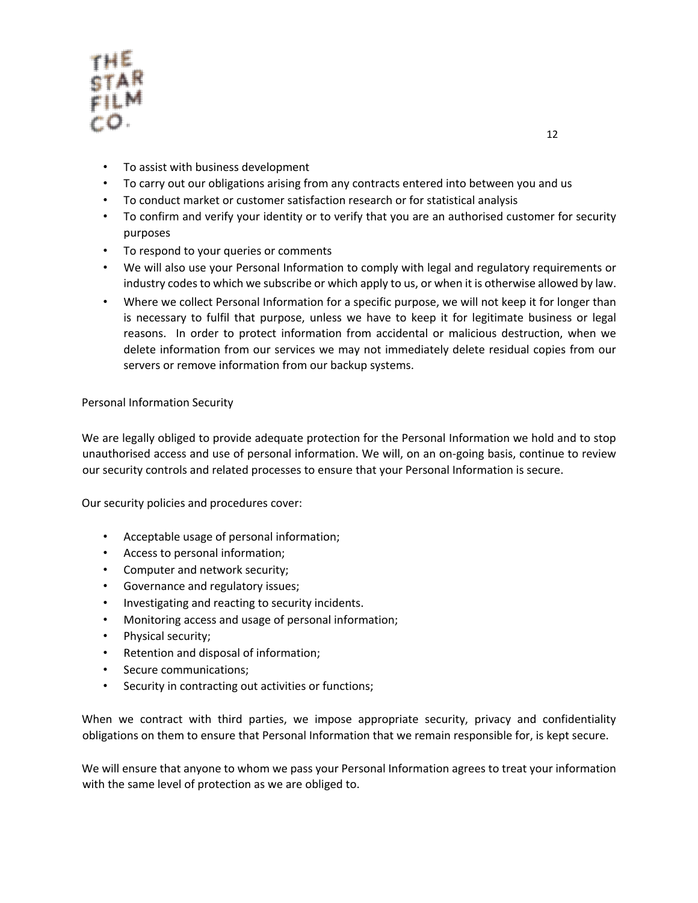

- To assist with business development
- To carry out our obligations arising from any contracts entered into between you and us
- To conduct market or customer satisfaction research or for statistical analysis
- To confirm and verify your identity or to verify that you are an authorised customer for security purposes
- To respond to your queries or comments
- We will also use your Personal Information to comply with legal and regulatory requirements or industry codes to which we subscribe or which apply to us, or when it is otherwise allowed by law.
- Where we collect Personal Information for a specific purpose, we will not keep it for longer than is necessary to fulfil that purpose, unless we have to keep it for legitimate business or legal reasons. In order to protect information from accidental or malicious destruction, when we delete information from our services we may not immediately delete residual copies from our servers or remove information from our backup systems.

# Personal Information Security

We are legally obliged to provide adequate protection for the Personal Information we hold and to stop unauthorised access and use of personal information. We will, on an on-going basis, continue to review our security controls and related processes to ensure that your Personal Information is secure.

Our security policies and procedures cover:

- Acceptable usage of personal information;
- Access to personal information;
- Computer and network security;
- Governance and regulatory issues;
- Investigating and reacting to security incidents.
- Monitoring access and usage of personal information;
- Physical security;
- Retention and disposal of information;
- Secure communications;
- Security in contracting out activities or functions;

When we contract with third parties, we impose appropriate security, privacy and confidentiality obligations on them to ensure that Personal Information that we remain responsible for, is kept secure.

We will ensure that anyone to whom we pass your Personal Information agrees to treat your information with the same level of protection as we are obliged to.